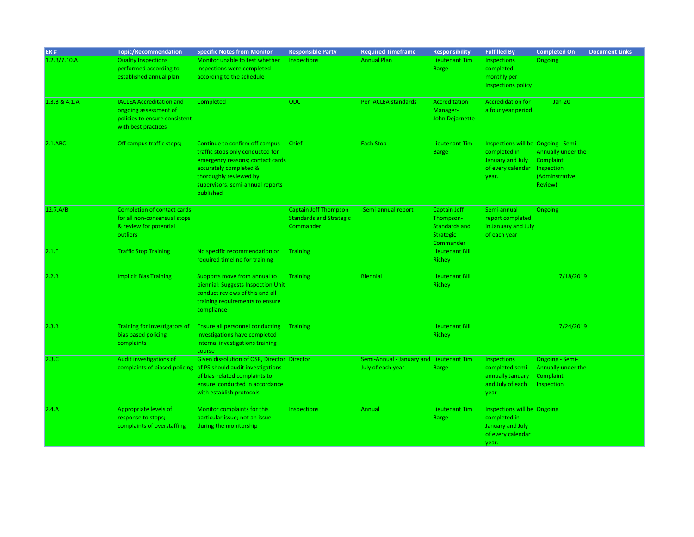| <b>ER#</b>    | <b>Topic/Recommendation</b>        | <b>Specific Notes from Monitor</b>                              | <b>Responsible Party</b>       | <b>Required Timeframe</b>                | <b>Responsibility</b>  | <b>Fulfilled By</b>                 | <b>Completed On</b>    | <b>Document Links</b> |
|---------------|------------------------------------|-----------------------------------------------------------------|--------------------------------|------------------------------------------|------------------------|-------------------------------------|------------------------|-----------------------|
| 1.2.B/7.10.A  | <b>Quality Inspections</b>         | Monitor unable to test whether                                  | Inspections                    | <b>Annual Plan</b>                       | Lieutenant Tim         | Inspections                         | Ongoing                |                       |
|               | performed according to             | inspections were completed                                      |                                |                                          | <b>Barge</b>           | completed                           |                        |                       |
|               | established annual plan            | according to the schedule                                       |                                |                                          |                        | monthly per                         |                        |                       |
|               |                                    |                                                                 |                                |                                          |                        | <b>Inspections policy</b>           |                        |                       |
|               |                                    |                                                                 |                                |                                          |                        |                                     |                        |                       |
| 1.3.B & 4.1.A | <b>IACLEA Accreditation and</b>    | Completed                                                       | <b>ODC</b>                     | Per IACLEA standards                     | Accreditation          | <b>Accredidation for</b>            | $Jan-20$               |                       |
|               | ongoing assessment of              |                                                                 |                                |                                          | Manager-               | a four year period                  |                        |                       |
|               | policies to ensure consistent      |                                                                 |                                |                                          | <b>John Dejarnette</b> |                                     |                        |                       |
|               | with best practices                |                                                                 |                                |                                          |                        |                                     |                        |                       |
|               |                                    |                                                                 |                                |                                          |                        |                                     |                        |                       |
| $2.1.$ ABC    | Off campus traffic stops;          | Continue to confirm off campus                                  | Chief                          | Each Stop                                | Lieutenant Tim         | Inspections will be Ongoing - Semi- |                        |                       |
|               |                                    | traffic stops only conducted for                                |                                |                                          | <b>Barge</b>           | completed in                        | Annually under the     |                       |
|               |                                    | emergency reasons; contact cards                                |                                |                                          |                        | January and July                    | Complaint              |                       |
|               |                                    | accurately completed &                                          |                                |                                          |                        | of every calendar                   | Inspection             |                       |
|               |                                    | thoroughly reviewed by                                          |                                |                                          |                        | year.                               | (Adminstrative         |                       |
|               |                                    | supervisors, semi-annual reports                                |                                |                                          |                        |                                     | Review)                |                       |
|               |                                    | published                                                       |                                |                                          |                        |                                     |                        |                       |
| 12.7.A/B      | <b>Completion of contact cards</b> |                                                                 | <b>Captain Jeff Thompson-</b>  | -Semi-annual report                      | Captain Jeff           | Semi-annual                         | Ongoing                |                       |
|               | for all non-consensual stops       |                                                                 | <b>Standards and Strategic</b> |                                          | Thompson-              | report completed                    |                        |                       |
|               | & review for potential             |                                                                 | Commander                      |                                          | Standards and          | in January and July                 |                        |                       |
|               | <b>outliers</b>                    |                                                                 |                                |                                          | <b>Strategic</b>       | of each year                        |                        |                       |
|               |                                    |                                                                 |                                |                                          | Commander              |                                     |                        |                       |
| 2.1.E         | <b>Traffic Stop Training</b>       | No specific recommendation or                                   | <b>Training</b>                |                                          | <b>Lieutenant Bill</b> |                                     |                        |                       |
|               |                                    | required timeline for training                                  |                                |                                          | Richey                 |                                     |                        |                       |
|               |                                    |                                                                 |                                |                                          |                        |                                     |                        |                       |
| 2.2.B         | <b>Implicit Bias Training</b>      | Supports move from annual to                                    | <b>Training</b>                | <b>Biennial</b>                          | <b>Lieutenant Bill</b> |                                     | 7/18/2019              |                       |
|               |                                    | biennial; Suggests Inspection Unit                              |                                |                                          | Richey                 |                                     |                        |                       |
|               |                                    | conduct reviews of this and all                                 |                                |                                          |                        |                                     |                        |                       |
|               |                                    | training requirements to ensure                                 |                                |                                          |                        |                                     |                        |                       |
|               |                                    | compliance                                                      |                                |                                          |                        |                                     |                        |                       |
| 2.3.B         | Training for investigators of      | <b>Ensure all personnel conducting</b>                          | <b>Training</b>                |                                          | <b>Lieutenant Bill</b> |                                     | 7/24/2019              |                       |
|               | bias based policing                | investigations have completed                                   |                                |                                          | Richey                 |                                     |                        |                       |
|               | complaints                         | internal investigations training                                |                                |                                          |                        |                                     |                        |                       |
|               |                                    | course                                                          |                                |                                          |                        |                                     |                        |                       |
| 2.3.C         | Audit investigations of            | Given dissolution of OSR, Director Director                     |                                | Semi-Annual - January and Lieutenant Tim |                        | Inspections                         | <b>Ongoing - Semi-</b> |                       |
|               |                                    | complaints of biased policing of PS should audit investigations |                                | July of each year                        | <b>Barge</b>           | completed semi-                     | Annually under the     |                       |
|               |                                    | of bias-related complaints to                                   |                                |                                          |                        | annually January                    | Complaint              |                       |
|               |                                    | ensure conducted in accordance                                  |                                |                                          |                        | and July of each                    | Inspection             |                       |
|               |                                    | with establish protocols                                        |                                |                                          |                        | year                                |                        |                       |
|               |                                    |                                                                 |                                |                                          |                        |                                     |                        |                       |
| 2.4.A         | Appropriate levels of              | Monitor complaints for this                                     | Inspections                    | Annual                                   | <b>Lieutenant Tim</b>  | Inspections will be Ongoing         |                        |                       |
|               | response to stops;                 | particular issue; not an issue                                  |                                |                                          | <b>Barge</b>           | completed in                        |                        |                       |
|               | complaints of overstaffing         | during the monitorship                                          |                                |                                          |                        | January and July                    |                        |                       |
|               |                                    |                                                                 |                                |                                          |                        | of every calendar                   |                        |                       |
|               |                                    |                                                                 |                                |                                          |                        | year.                               |                        |                       |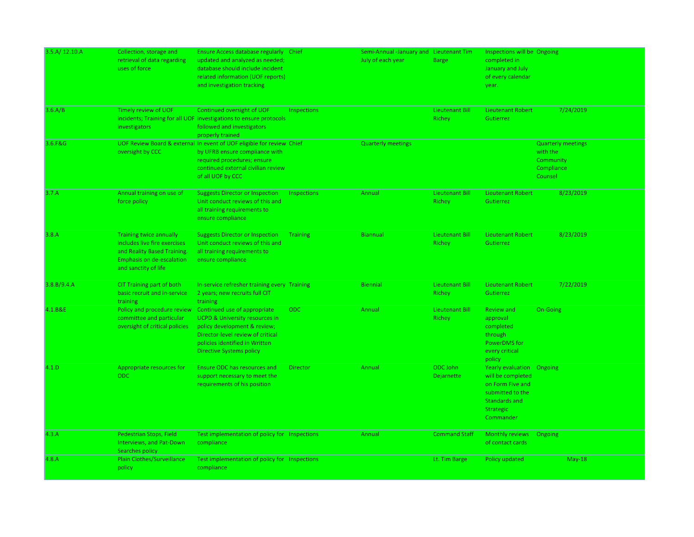| 3.5.A/12.10.A<br>3.6.A/B | Collection, storage and<br>retrieval of data regarding<br>uses of force<br>Timely review of UOF                                                           | Ensure Access database regularly Chief<br>updated and analyzed as needed;<br>database should include incident<br>related information (UOF reports)<br>and investigation tracking<br>Continued oversight of UOF      | Inspections        | Semi-Annual -January and Lieutenant Tim<br>July of each year | <b>Barge</b><br><b>Lieutenant Bill</b> | Inspections will be Ongoing<br>completed in<br>January and July<br>of every calendar<br>year.<br><b>Lieutenant Robert</b>                | 7/24/2019                                                                   |
|--------------------------|-----------------------------------------------------------------------------------------------------------------------------------------------------------|---------------------------------------------------------------------------------------------------------------------------------------------------------------------------------------------------------------------|--------------------|--------------------------------------------------------------|----------------------------------------|------------------------------------------------------------------------------------------------------------------------------------------|-----------------------------------------------------------------------------|
|                          | investigators                                                                                                                                             | incidents; Training for all UOF investigations to ensure protocols<br>followed and investigators<br>properly trained                                                                                                |                    |                                                              | Richey                                 | Gutierrez                                                                                                                                |                                                                             |
| 3.6.F&G                  | oversight by CCC                                                                                                                                          | UOF Review Board & external In event of UOF eligible for review Chief<br>by UFRB ensure compliance with<br>required procedures; ensure<br>continued external civilian review<br>of all UOF by CCC                   |                    | <b>Quarterly meetings</b>                                    |                                        |                                                                                                                                          | <b>Quarterly meetings</b><br>with the<br>Community<br>Compliance<br>Counsel |
| 3.7.A                    | Annual training on use of<br>force policy                                                                                                                 | <b>Suggests Director or Inspection</b><br>Unit conduct reviews of this and<br>all training requirements to<br>ensure compliance                                                                                     | <b>Inspections</b> | Annual                                                       | <b>Lieutenant Bill</b><br>Richey       | <b>Lieutenant Robert</b><br>Gutierrez                                                                                                    | 8/23/2019                                                                   |
| 3.8.A                    | <b>Training twice annually</b><br>includes live fire exercises<br>and Reality Based Training.<br><b>Emphasis on de-escalation</b><br>and sanctity of life | <b>Suggests Director or Inspection</b><br>Unit conduct reviews of this and<br>all training requirements to<br>ensure compliance                                                                                     | <b>Training</b>    | <b>Biannual</b>                                              | <b>Lieutenant Bill</b><br>Richey       | <b>Lieutenant Robert</b><br>Gutierrez                                                                                                    | 8/23/2019                                                                   |
| 3.8.B/9.4.A              | CIT Training part of both<br>basic recruit and in-service<br>training                                                                                     | In-service refresher training every Training<br>2 years; new recruits full CIT<br>training                                                                                                                          |                    | <b>Biennial</b>                                              | Lieutenant Bill<br>Richey              | <b>Lieutenant Robert</b><br>Gutierrez                                                                                                    | 7/22/2019                                                                   |
| 4.1.B&E                  | Policy and procedure review<br>committee and particular<br>oversight of critical policies                                                                 | Continued use of appropriate<br><b>UCPD &amp; University resources in</b><br>policy development & review;<br>Director-level review of critical<br>policies identified in Written<br><b>Directive Systems policy</b> | ODC                | Annual                                                       | Lieutenant Bill<br>Richey              | <b>Review and</b><br>approval<br>completed<br>through<br>PowerDMS for<br>every critical<br>policy                                        | On-Going                                                                    |
| 4.1.D                    | Appropriate resources for<br><b>ODC</b>                                                                                                                   | <b>Ensure ODC has resources and</b><br>support necessary to meet the<br>requirements of his position                                                                                                                | <b>Director</b>    | Annual                                                       | ODC John<br><b>Dejarnette</b>          | <b>Yearly evaluation</b> Ongoing<br>will be completed<br>on Form Five and<br>submitted to the<br>Standards and<br>Strategic<br>Commander |                                                                             |
| 4.3.A                    | Pedestrian Stops, Field<br>Interviews, and Pat-Down<br>Searches policy                                                                                    | Test implementation of policy for Inspections<br>compliance                                                                                                                                                         |                    | Annual                                                       | <b>Command Staff</b>                   | Monthly reviews<br>of contact cards                                                                                                      | Ongoing                                                                     |
| 4.8.A                    | <b>Plain Clothes/Surveillance</b><br>policy                                                                                                               | Test implementation of policy for Inspections<br>compliance                                                                                                                                                         |                    |                                                              | Lt. Tim Barge                          | Policy updated                                                                                                                           | $May-18$                                                                    |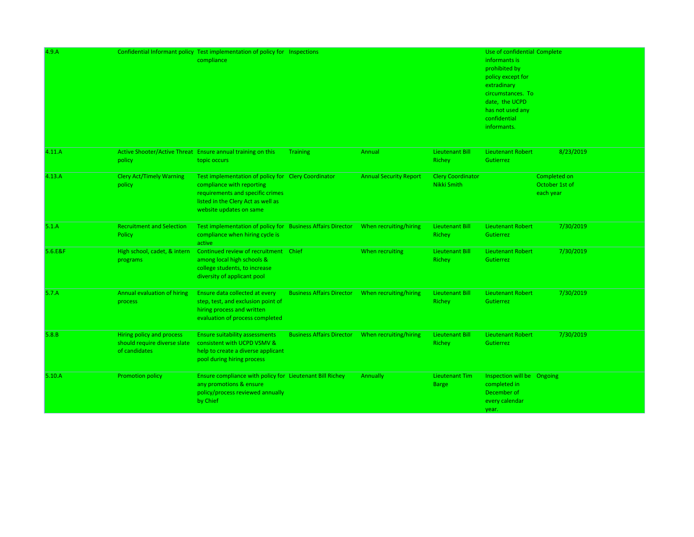| 4.9.A   |                                                                            | Confidential Informant policy Test implementation of policy for Inspections<br>compliance                                                                                             |                                  |                               |                                                | Use of confidential Complete<br>informants is<br>prohibited by<br>policy except for<br>extradinary<br>circumstances. To<br>date, the UCPD<br>has not used any<br>confidential<br>informants. |                                             |
|---------|----------------------------------------------------------------------------|---------------------------------------------------------------------------------------------------------------------------------------------------------------------------------------|----------------------------------|-------------------------------|------------------------------------------------|----------------------------------------------------------------------------------------------------------------------------------------------------------------------------------------------|---------------------------------------------|
| 4.11.A  | policy                                                                     | Active Shooter/Active Threat Ensure annual training on this<br>topic occurs                                                                                                           | <b>Training</b>                  | Annual                        | <b>Lieutenant Bill</b><br>Richey               | <b>Lieutenant Robert</b><br>Gutierrez                                                                                                                                                        | 8/23/2019                                   |
| 4.13.A  | <b>Clery Act/Timely Warning</b><br>policy                                  | Test implementation of policy for Clery Coordinator<br>compliance with reporting<br>requirements and specific crimes<br>listed in the Clery Act as well as<br>website updates on same |                                  | <b>Annual Security Report</b> | <b>Clery Coordinator</b><br><b>Nikki Smith</b> |                                                                                                                                                                                              | Completed on<br>October 1st of<br>each year |
| 5.1.A   | <b>Recruitment and Selection</b><br>Policy                                 | Test implementation of policy for Business Affairs Director<br>compliance when hiring cycle is<br>active                                                                              |                                  | When recruiting/hiring        | <b>Lieutenant Bill</b><br>Richey               | <b>Lieutenant Robert</b><br>Gutierrez                                                                                                                                                        | 7/30/2019                                   |
| 5.6.E&F | High school, cadet, & intern<br>programs                                   | Continued review of recruitment<br>among local high schools &<br>college students, to increase<br>diversity of applicant pool                                                         | Chief                            | When recruiting               | <b>Lieutenant Bill</b><br>Richey               | <b>Lieutenant Robert</b><br>Gutierrez                                                                                                                                                        | 7/30/2019                                   |
| 5.7.A   | <b>Annual evaluation of hiring</b><br>process                              | Ensure data collected at every<br>step, test, and exclusion point of<br>hiring process and written<br>evaluation of process completed                                                 | <b>Business Affairs Director</b> | When recruiting/hiring        | <b>Lieutenant Bill</b><br>Richey               | <b>Lieutenant Robert</b><br>Gutierrez                                                                                                                                                        | 7/30/2019                                   |
| 5.8.B   | Hiring policy and process<br>should require diverse slate<br>of candidates | <b>Ensure suitability assessments</b><br>consistent with UCPD VSMV &<br>help to create a diverse applicant<br>pool during hiring process                                              | <b>Business Affairs Director</b> | When recruiting/hiring        | <b>Lieutenant Bill</b><br>Richey               | <b>Lieutenant Robert</b><br>Gutierrez                                                                                                                                                        | 7/30/2019                                   |
| 5.10.A  | <b>Promotion policy</b>                                                    | Ensure compliance with policy for Lieutenant Bill Richey<br>any promotions & ensure<br>policy/process reviewed annually<br>by Chief                                                   |                                  | Annually                      | <b>Lieutenant Tim</b><br><b>Barge</b>          | Inspection will be Ongoing<br>completed in<br>December of<br>every calendar<br>year.                                                                                                         |                                             |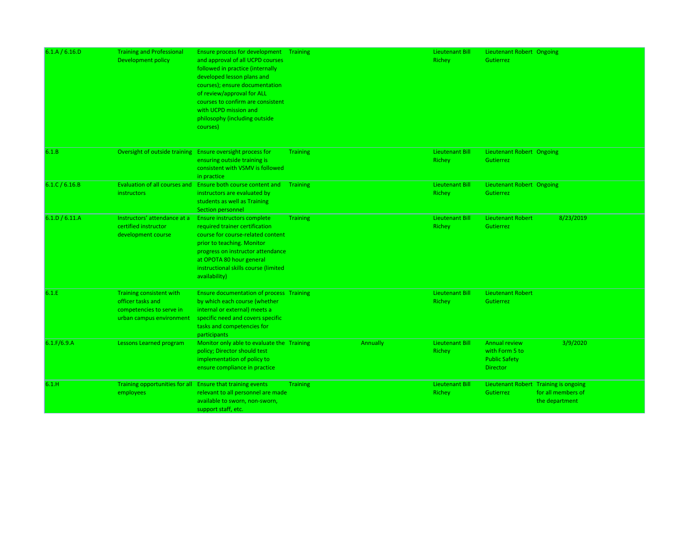| 6.1.A / 6.16.D | <b>Training and Professional</b><br><b>Development policy</b>                                         | <b>Ensure process for development</b> Training<br>and approval of all UCPD courses<br>followed in practice (internally<br>developed lesson plans and<br>courses); ensure documentation<br>of review/approval for ALL<br>courses to confirm are consistent<br>with UCPD mission and<br>philosophy (including outside<br>courses) |                 |          | Lieutenant Bill<br>Richey        | Lieutenant Robert Ongoing<br>Gutierrez                                            |                                      |
|----------------|-------------------------------------------------------------------------------------------------------|---------------------------------------------------------------------------------------------------------------------------------------------------------------------------------------------------------------------------------------------------------------------------------------------------------------------------------|-----------------|----------|----------------------------------|-----------------------------------------------------------------------------------|--------------------------------------|
| 6.1.B          |                                                                                                       | Oversight of outside training Ensure oversight process for<br>ensuring outside training is<br>consistent with VSMV is followed<br>in practice                                                                                                                                                                                   | <b>Training</b> |          | Lieutenant Bill<br>Richey        | Lieutenant Robert Ongoing<br>Gutierrez                                            |                                      |
| 6.1.C/6.16.B   | instructors                                                                                           | Evaluation of all courses and Ensure both course content and Training<br>instructors are evaluated by<br>students as well as Training<br>Section personnel                                                                                                                                                                      |                 |          | <b>Lieutenant Bill</b><br>Richey | Lieutenant Robert Ongoing<br>Gutierrez                                            |                                      |
| 6.1.D / 6.11.A | Instructors' attendance at a<br>certified instructor<br>development course                            | Ensure instructors complete<br>required trainer certification<br>course for course-related content<br>prior to teaching. Monitor<br>progress on instructor attendance<br>at OPOTA 80 hour general<br>instructional skills course (limited<br>availability)                                                                      | <b>Training</b> |          | <b>Lieutenant Bill</b><br>Richey | <b>Lieutenant Robert</b><br>Gutierrez                                             | 8/23/2019                            |
| 6.1.E          | Training consistent with<br>officer tasks and<br>competencies to serve in<br>urban campus environment | <b>Ensure documentation of process Training</b><br>by which each course (whether<br>internal or external) meets a<br>specific need and covers specific<br>tasks and competencies for<br>participants                                                                                                                            |                 |          | <b>Lieutenant Bill</b><br>Richey | <b>Lieutenant Robert</b><br>Gutierrez                                             |                                      |
| 6.1.F/6.9.A    | Lessons Learned program                                                                               | Monitor only able to evaluate the Training<br>policy; Director should test<br>implementation of policy to<br>ensure compliance in practice                                                                                                                                                                                      |                 | Annually | <b>Lieutenant Bill</b><br>Richey | <b>Annual review</b><br>with Form 5 to<br><b>Public Safety</b><br><b>Director</b> | 3/9/2020                             |
| 6.1.H          | Training opportunities for all Ensure that training events<br>employees                               | relevant to all personnel are made<br>available to sworn, non-sworn,<br>support staff, etc.                                                                                                                                                                                                                                     | <b>Training</b> |          | <b>Lieutenant Bill</b><br>Richey | Lieutenant Robert Training is ongoing<br>Gutierrez                                | for all members of<br>the department |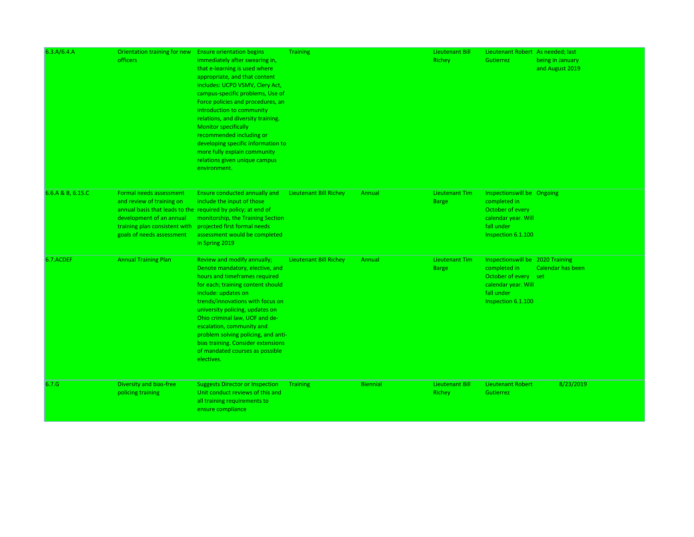| 6.3.A/6.4.A       | Orientation training for new Ensure orientation begins<br><i>officers</i>                                                                                                   | immediately after swearing in,<br>that e-learning is used where<br>appropriate, and that content<br>includes: UCPD VSMV, Clery Act,<br>campus-specific problems, Use of<br>Force policies and procedures, an<br>introduction to community<br>relations, and diversity training.<br><b>Monitor specifically</b><br>recommended including or<br>developing specific information to<br>more fully explain community<br>relations given unique campus<br>environment. | <b>Training</b>               |                 | Lieutenant Bill<br>Richey             | Lieutenant Robert As needed; last<br>Gutierrez                                                                                       | being in January<br>and August 2019 |
|-------------------|-----------------------------------------------------------------------------------------------------------------------------------------------------------------------------|-------------------------------------------------------------------------------------------------------------------------------------------------------------------------------------------------------------------------------------------------------------------------------------------------------------------------------------------------------------------------------------------------------------------------------------------------------------------|-------------------------------|-----------------|---------------------------------------|--------------------------------------------------------------------------------------------------------------------------------------|-------------------------------------|
| 6.6.A & B, 6.15.C | Formal needs assessment<br>and review of training on<br>development of an annual<br>training plan consistent with projected first formal needs<br>goals of needs assessment | Ensure conducted annually and<br>include the input of those<br>annual basis that leads to the required by policy; at end of<br>monitorship, the Training Section<br>assessment would be completed<br>in Spring 2019                                                                                                                                                                                                                                               | Lieutenant Bill Richey        | Annual          | <b>Lieutenant Tim</b><br><b>Barge</b> | Inspectionswill be Ongoing<br>completed in<br>October of every<br>calendar year. Will<br>fall under<br>Inspection 6.1.100            |                                     |
| 6.7.ACDEF         | <b>Annual Training Plan</b>                                                                                                                                                 | Review and modify annually;<br>Denote mandatory, elective, and<br>hours and timeframes required<br>for each; training content should<br>include: updates on<br>trends/innovations with focus on<br>university policing, updates on<br>Ohio criminal law, UOF and de-<br>escalation, community and<br>problem solving policing, and anti-<br>bias training. Consider extensions<br>of mandated courses as possible<br>electives.                                   | <b>Lieutenant Bill Richey</b> | Annual          | Lieutenant Tim<br><b>Barge</b>        | Inspections will be 2020 Training<br>completed in<br>October of every set<br>calendar year. Will<br>fall under<br>Inspection 6.1.100 | Calendar has been                   |
| 6.7.G             | Diversity and bias-free<br>policing training                                                                                                                                | <b>Suggests Director or Inspection</b><br>Unit conduct reviews of this and<br>all training requirements to<br>ensure compliance                                                                                                                                                                                                                                                                                                                                   | <b>Training</b>               | <b>Biennial</b> | <b>Lieutenant Bill</b><br>Richey      | <b>Lieutenant Robert</b><br>Gutierrez                                                                                                | 8/23/2019                           |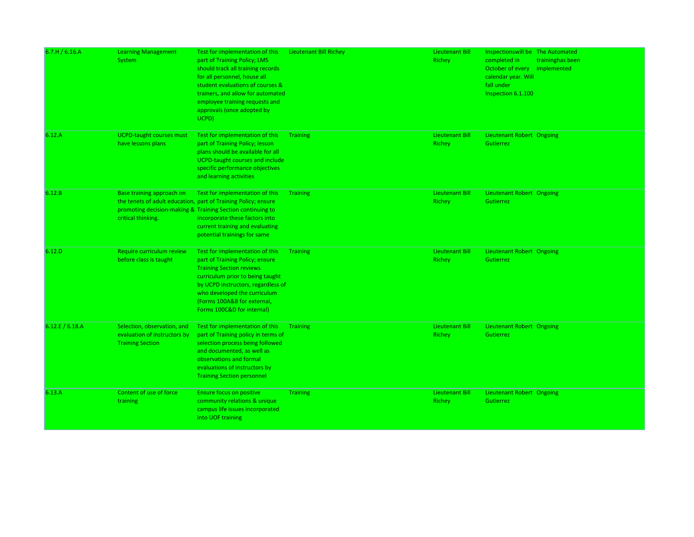| 6.7.H/6.16.A  | <b>Learning Management</b><br>System                                                   | Test for implementation of this<br>part of Training Policy; LMS<br>should track all training records<br>for all personnel, house all<br>student evaluations of courses &<br>trainers, and allow for automated<br>employee training requests and<br>approvals (once adopted by<br>UCPD) | <b>Lieutenant Bill Richey</b> | Lieutenant Bill<br>Richey        | Inspections will be The Automated<br>completed in<br>October of every implemented<br>calendar year. Will<br>fall under<br>Inspection 6.1.100 | traininghas been |
|---------------|----------------------------------------------------------------------------------------|----------------------------------------------------------------------------------------------------------------------------------------------------------------------------------------------------------------------------------------------------------------------------------------|-------------------------------|----------------------------------|----------------------------------------------------------------------------------------------------------------------------------------------|------------------|
| 6.12.A        | <b>UCPD-taught courses must</b><br>have lessons plans                                  | Test for implementation of this<br>part of Training Policy; lesson<br>plans should be available for all<br><b>UCPD-taught courses and include</b><br>specific performance objectives<br>and learning activities                                                                        | <b>Training</b>               | <b>Lieutenant Bill</b><br>Richey | Lieutenant Robert Ongoing<br>Gutierrez                                                                                                       |                  |
| 6.12.B        | Base training approach on<br>critical thinking.                                        | Test for implementation of this<br>the tenets of adult education, part of Training Policy; ensure<br>promoting decision-making & Training Section continuing to<br>incorporate these factors into<br>current training and evaluating<br>potential trainings for same                   | <b>Training</b>               | Lieutenant Bill<br>Richey        | Lieutenant Robert Ongoing<br>Gutierrez                                                                                                       |                  |
| 6.12.D        | Require curriculum review<br>before class is taught                                    | Test for implementation of this<br>part of Training Policy; ensure<br><b>Training Section reviews</b><br>curriculum prior to being taught<br>by UCPD instructors, regardless of<br>who developed the curriculum<br>(Forms 100A&B for external,<br>Forms 100C&D for internal)           | <b>Training</b>               | Lieutenant Bill<br>Richey        | Lieutenant Robert Ongoing<br>Gutierrez                                                                                                       |                  |
| 6.12.E/6.18.A | Selection, observation, and<br>evaluation of instructors by<br><b>Training Section</b> | Test for implementation of this<br>part of Training policy in terms of<br>selection process being followed<br>and documented, as well as<br>observations and formal<br>evaluations of instructors by<br><b>Training Section personnel</b>                                              | <b>Training</b>               | <b>Lieutenant Bill</b><br>Richey | Lieutenant Robert Ongoing<br>Gutierrez                                                                                                       |                  |
| 6.13.A        | Content of use of force<br>training                                                    | <b>Ensure focus on positive</b><br>community relations & unique<br>campus life issues incorporated<br>into UOF training                                                                                                                                                                | <b>Training</b>               | Lieutenant Bill<br>Richey        | <b>Lieutenant Robert Ongoing</b><br>Gutierrez                                                                                                |                  |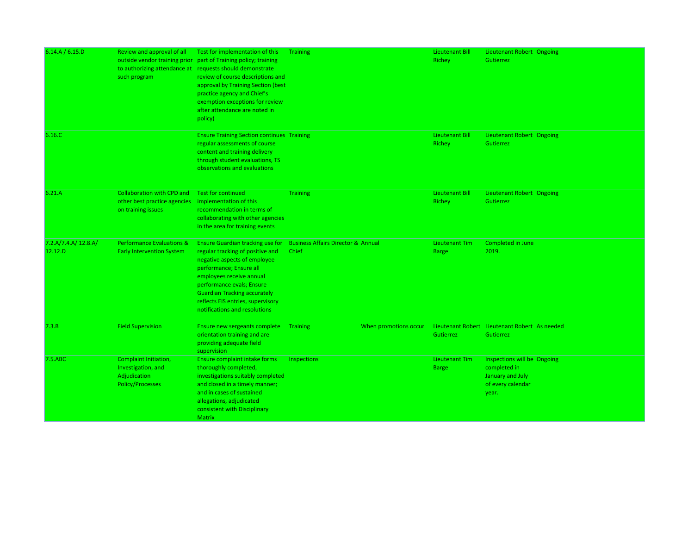| 6.14.A / 6.15.D                | Review and approval of all<br>outside vendor training prior<br>such program                   | Test for implementation of this<br>part of Training policy; training<br>to authorizing attendance at requests should demonstrate<br>review of course descriptions and<br>approval by Training Section (best<br>practice agency and Chief's<br>exemption exceptions for review<br>after attendance are noted in<br>policy) | <b>Training</b>                                        |                       | Lieutenant Bill<br>Richey             | Lieutenant Robert Ongoing<br>Gutierrez                                                        |
|--------------------------------|-----------------------------------------------------------------------------------------------|---------------------------------------------------------------------------------------------------------------------------------------------------------------------------------------------------------------------------------------------------------------------------------------------------------------------------|--------------------------------------------------------|-----------------------|---------------------------------------|-----------------------------------------------------------------------------------------------|
| 6.16.C                         |                                                                                               | <b>Ensure Training Section continues Training</b><br>regular assessments of course<br>content and training delivery<br>through student evaluations, TS<br>observations and evaluations                                                                                                                                    |                                                        |                       | Lieutenant Bill<br>Richey             | Lieutenant Robert Ongoing<br>Gutierrez                                                        |
| 6.21.A                         | <b>Collaboration with CPD and</b><br>other best practice agencies<br>on training issues       | <b>Test for continued</b><br>implementation of this<br>recommendation in terms of<br>collaborating with other agencies<br>in the area for training events                                                                                                                                                                 | <b>Training</b>                                        |                       | <b>Lieutenant Bill</b><br>Richey      | Lieutenant Robert Ongoing<br>Gutierrez                                                        |
| 7.2.A/7.4.A/12.8.A/<br>12.12.D | <b>Performance Evaluations &amp;</b><br><b>Early Intervention System</b>                      | <b>Ensure Guardian tracking use for</b><br>regular tracking of positive and<br>negative aspects of employee<br>performance; Ensure all<br>employees receive annual<br>performance evals; Ensure<br><b>Guardian Tracking accurately</b><br>reflects EIS entries, supervisory<br>notifications and resolutions              | <b>Business Affairs Director &amp; Annual</b><br>Chief |                       | <b>Lieutenant Tim</b><br><b>Barge</b> | Completed in June<br>2019.                                                                    |
| 7.3.B                          | <b>Field Supervision</b>                                                                      | Ensure new sergeants complete<br>orientation training and are<br>providing adequate field<br>supervision                                                                                                                                                                                                                  | <b>Training</b>                                        | When promotions occur | Gutierrez                             | Lieutenant Robert Lieutenant Robert As needed<br>Gutierrez                                    |
| 7.5.ABC                        | <b>Complaint Initiation,</b><br>Investigation, and<br>Adjudication<br><b>Policy/Processes</b> | Ensure complaint intake forms<br>thoroughly completed,<br>investigations suitably completed<br>and closed in a timely manner;<br>and in cases of sustained<br>allegations, adjudicated<br>consistent with Disciplinary<br><b>Matrix</b>                                                                                   | Inspections                                            |                       | Lieutenant Tim<br><b>Barge</b>        | Inspections will be Ongoing<br>completed in<br>January and July<br>of every calendar<br>year. |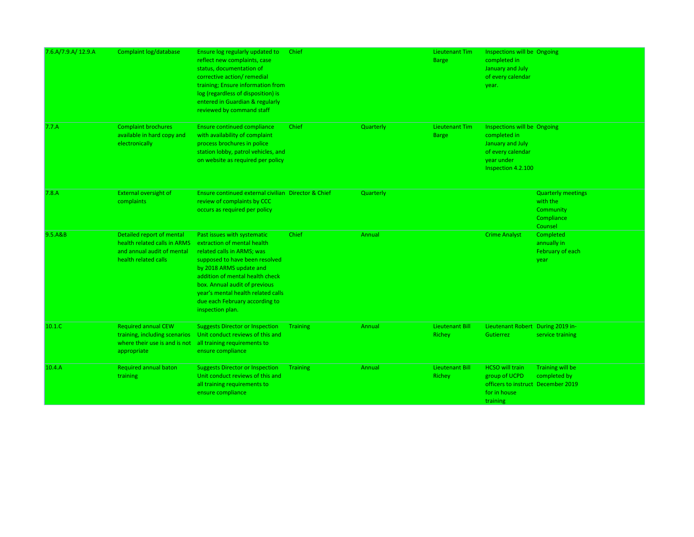| 7.6.A/7.9.A/ 12.9.A | Complaint log/database                                                                                          | Ensure log regularly updated to<br>reflect new complaints, case<br>status, documentation of<br>corrective action/ remedial<br>training; Ensure information from<br>log (regardless of disposition) is<br>entered in Guardian & regularly<br>reviewed by command staff                                                 | Chief           |           | Lieutenant Tim<br><b>Barge</b>        | Inspections will be Ongoing<br>completed in<br>January and July<br>of every calendar<br>year.                            |                                                                             |
|---------------------|-----------------------------------------------------------------------------------------------------------------|-----------------------------------------------------------------------------------------------------------------------------------------------------------------------------------------------------------------------------------------------------------------------------------------------------------------------|-----------------|-----------|---------------------------------------|--------------------------------------------------------------------------------------------------------------------------|-----------------------------------------------------------------------------|
| 7.7.A               | <b>Complaint brochures</b><br>available in hard copy and<br>electronically                                      | <b>Ensure continued compliance</b><br>with availability of complaint<br>process brochures in police<br>station lobby, patrol vehicles, and<br>on website as required per policy                                                                                                                                       | Chief           | Quarterly | <b>Lieutenant Tim</b><br><b>Barge</b> | Inspections will be Ongoing<br>completed in<br>January and July<br>of every calendar<br>year under<br>Inspection 4.2.100 |                                                                             |
| 7.8.A               | <b>External oversight of</b><br>complaints                                                                      | Ensure continued external civilian Director & Chief<br>review of complaints by CCC<br>occurs as required per policy                                                                                                                                                                                                   |                 | Quarterly |                                       |                                                                                                                          | <b>Quarterly meetings</b><br>with the<br>Community<br>Compliance<br>Counsel |
| 9.5.A&B             | Detailed report of mental<br>health related calls in ARMS<br>and annual audit of mental<br>health related calls | Past issues with systematic<br>extraction of mental health<br>related calls in ARMS; was<br>supposed to have been resolved<br>by 2018 ARMS update and<br>addition of mental health check<br>box. Annual audit of previous<br>year's mental health related calls<br>due each February according to<br>inspection plan. | Chief           | Annual    |                                       | <b>Crime Analyst</b>                                                                                                     | Completed<br>annually in<br>February of each<br>year                        |
| 10.1.C              | <b>Required annual CEW</b><br>training, including scenarios<br>where their use is and is not<br>appropriate     | <b>Suggests Director or Inspection</b><br>Unit conduct reviews of this and<br>all training requirements to<br>ensure compliance                                                                                                                                                                                       | <b>Training</b> | Annual    | <b>Lieutenant Bill</b><br>Richey      | Lieutenant Robert During 2019 in-<br>Gutierrez                                                                           | service training                                                            |
| 10.4.A              | <b>Required annual baton</b><br>training                                                                        | <b>Suggests Director or Inspection</b><br>Unit conduct reviews of this and<br>all training requirements to<br>ensure compliance                                                                                                                                                                                       | <b>Training</b> | Annual    | <b>Lieutenant Bill</b><br>Richey      | <b>HCSO will train</b><br>group of UCPD<br>officers to instruct December 2019<br>for in house<br>training                | Training will be<br>completed by                                            |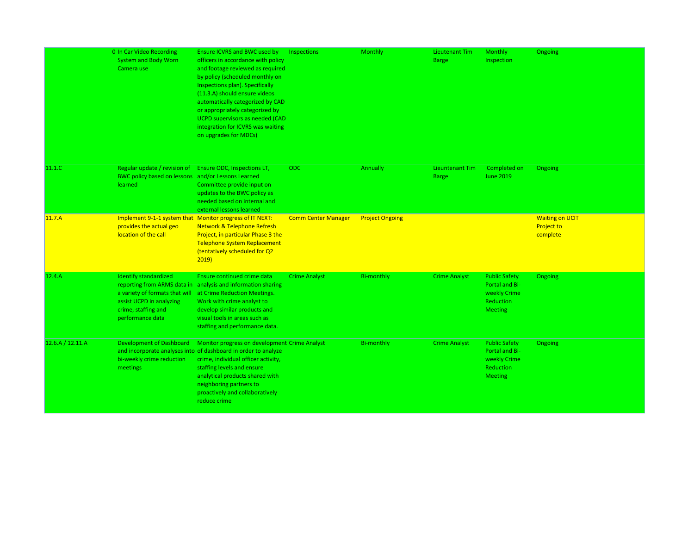|                  | 0 In Car Video Recording<br>System and Body Worn<br>Camera use                                                                        | Ensure ICVRS and BWC used by<br>officers in accordance with policy<br>and footage reviewed as required<br>by policy (scheduled monthly on<br>Inspections plan). Specifically<br>(11.3.A) should ensure videos<br>automatically categorized by CAD<br>or appropriately categorized by<br>UCPD supervisors as needed (CAD<br>integration for ICVRS was waiting<br>on upgrades for MDCs) | Inspections                | <b>Monthly</b>         | Lieutenant Tim<br><b>Barge</b>  | <b>Monthly</b><br>Inspection                                                          | <b>Ongoing</b>                                          |
|------------------|---------------------------------------------------------------------------------------------------------------------------------------|---------------------------------------------------------------------------------------------------------------------------------------------------------------------------------------------------------------------------------------------------------------------------------------------------------------------------------------------------------------------------------------|----------------------------|------------------------|---------------------------------|---------------------------------------------------------------------------------------|---------------------------------------------------------|
| 11.1.C           | Regular update / revision of<br>BWC policy based on lessons and/or Lessons Learned<br><b>learned</b>                                  | Ensure ODC, Inspections LT,<br>Committee provide input on<br>updates to the BWC policy as<br>needed based on internal and<br>external lessons learned                                                                                                                                                                                                                                 | ODC                        | Annually               | Lieuntenant Tim<br><b>Barge</b> | Completed on<br><b>June 2019</b>                                                      | <b>Ongoing</b>                                          |
| 11.7.A           | Implement 9-1-1 system that Monitor progress of IT NEXT:<br>provides the actual geo<br>location of the call                           | <b>Network &amp; Telephone Refresh</b><br>Project, in particular Phase 3 the<br><b>Telephone System Replacement</b><br>(tentatively scheduled for Q2<br>2019                                                                                                                                                                                                                          | <b>Comm Center Manager</b> | <b>Project Ongoing</b> |                                 |                                                                                       | <b>Waiting on UCIT</b><br><b>Project to</b><br>complete |
| 12.4.A           | <b>Identify standardized</b><br>a variety of formats that will<br>assist UCPD in analyzing<br>crime, staffing and<br>performance data | Ensure continued crime data<br>reporting from ARMS data in analysis and information sharing<br>at Crime Reduction Meetings.<br>Work with crime analyst to<br>develop similar products and<br>visual tools in areas such as<br>staffing and performance data.                                                                                                                          | <b>Crime Analyst</b>       | <b>Bi-monthly</b>      | <b>Crime Analyst</b>            | <b>Public Safety</b><br>Portal and Bi-<br>weekly Crime<br>Reduction<br><b>Meeting</b> | <b>Ongoing</b>                                          |
| 12.6.A / 12.11.A | <b>Development of Dashboard</b><br>bi-weekly crime reduction<br>meetings                                                              | Monitor progress on development Crime Analyst<br>and incorporate analyses into of dashboard in order to analyze<br>crime, individual officer activity,<br>staffing levels and ensure<br>analytical products shared with<br>neighboring partners to<br>proactively and collaboratively<br>reduce crime                                                                                 |                            | <b>Bi-monthly</b>      | <b>Crime Analyst</b>            | <b>Public Safety</b><br>Portal and Bi-<br>weekly Crime<br>Reduction<br><b>Meeting</b> | <b>Ongoing</b>                                          |